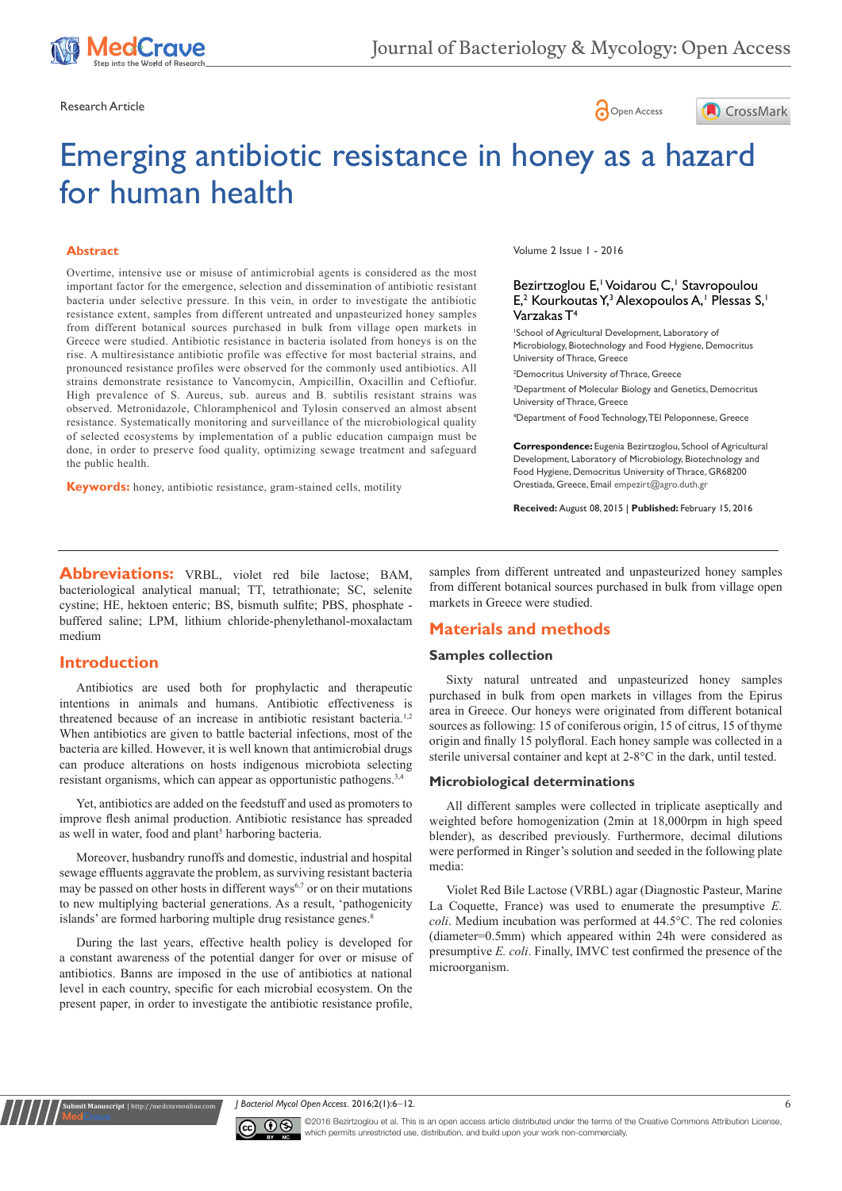





# Emerging antibiotic resistance in honey as a hazard for human health

#### **Abstract**

Overtime, intensive use or misuse of antimicrobial agents is considered as the most important factor for the emergence, selection and dissemination of antibiotic resistant bacteria under selective pressure. In this vein, in order to investigate the antibiotic resistance extent, samples from different untreated and unpasteurized honey samples from different botanical sources purchased in bulk from village open markets in Greece were studied. Antibiotic resistance in bacteria isolated from honeys is on the rise. A multiresistance antibiotic profile was effective for most bacterial strains, and pronounced resistance profiles were observed for the commonly used antibiotics. All strains demonstrate resistance to Vancomycin, Ampicillin, Oxacillin and Ceftiofur. High prevalence of S. Aureus, sub. aureus and B. subtilis resistant strains was observed. Metronidazole, Chloramphenicol and Tylosin conserved an almost absent resistance. Systematically monitoring and surveillance of the microbiological quality of selected ecosystems by implementation of a public education campaign must be done, in order to preserve food quality, optimizing sewage treatment and safeguard the public health.

**Keywords:** honey, antibiotic resistance, gram-stained cells, motility

Volume 2 Issue 1 - 2016

#### Bezirtzoglou E, Voidarou C, Stavropoulou E,<sup>2</sup> Kourkoutas Y,<sup>3</sup> Alexopoulos A,<sup>1</sup> Plessas S,<sup>1</sup> Varzakas T4

1 School of Agricultural Development, Laboratory of Microbiology, Biotechnology and Food Hygiene, Democritus University of Thrace, Greece

2 Democritus University of Thrace, Greece 3 Department of Molecular Biology and Genetics, Democritus University of Thrace, Greece

4 Department of Food Technology, TEI Peloponnese, Greece

**Correspondence:** Eugenia Bezirtzoglou, School of Agricultural Development, Laboratory of Microbiology, Biotechnology and Food Hygiene, Democritus University of Thrace, GR68200 Orestiada, Greece, Email empezirt@agro.duth.gr

**Received:** August 08, 2015 | **Published:** February 15, 2016

**Abbreviations:** VRBL, violet red bile lactose; BAM, bacteriological analytical manual; TT, tetrathionate; SC, selenite cystine; HE, hektoen enteric; BS, bismuth sulfite; PBS, phosphate buffered saline; LPM, lithium chloride-phenylethanol-moxalactam medium

# **Introduction**

**Submit Manuscript** | http://medcraveonline.com

Antibiotics are used both for prophylactic and therapeutic intentions in animals and humans. Antibiotic effectiveness is threatened because of an increase in antibiotic resistant bacteria.<sup>1,2</sup> When antibiotics are given to battle bacterial infections, most of the bacteria are killed. However, it is well known that antimicrobial drugs can produce alterations on hosts indigenous microbiota selecting resistant organisms, which can appear as opportunistic pathogens.<sup>3,4</sup>

Yet, antibiotics are added on the feedstuff and used as promoters to improve flesh animal production. Antibiotic resistance has spreaded as well in water, food and plant<sup>5</sup> harboring bacteria.

Moreover, husbandry runoffs and domestic, industrial and hospital sewage effluents aggravate the problem, as surviving resistant bacteria may be passed on other hosts in different ways $6,7$  or on their mutations to new multiplying bacterial generations. As a result, 'pathogenicity islands' are formed harboring multiple drug resistance genes.<sup>8</sup>

During the last years, effective health policy is developed for a constant awareness of the potential danger for over or misuse of antibiotics. Banns are imposed in the use of antibiotics at national level in each country, specific for each microbial ecosystem. On the present paper, in order to investigate the antibiotic resistance profile,

samples from different untreated and unpasteurized honey samples from different botanical sources purchased in bulk from village open markets in Greece were studied.

# **Materials and methods**

## **Samples collection**

Sixty natural untreated and unpasteurized honey samples purchased in bulk from open markets in villages from the Epirus area in Greece. Our honeys were originated from different botanical sources as following: 15 of coniferous origin, 15 of citrus, 15 of thyme origin and finally 15 polyfloral. Each honey sample was collected in a sterile universal container and kept at 2-8°C in the dark, until tested.

## **Microbiological determinations**

All different samples were collected in triplicate aseptically and weighted before homogenization (2min at 18,000rpm in high speed blender), as described previously. Furthermore, decimal dilutions were performed in Ringer's solution and seeded in the following plate media:

Violet Red Bile Lactose (VRBL) agar (Diagnostic Pasteur, Marine La Coquette, France) was used to enumerate the presumptive *E. coli*. Medium incubation was performed at 44.5°C. The red colonies (diameter=0.5mm) which appeared within 24h were considered as presumptive *E. coli*. Finally, IMVC test confirmed the presence of the microorganism.





©2016 Bezirtzoglou et al. This is an open access article distributed under the terms of the [Creative Commons Attribution License](https://creativecommons.org/licenses/by-nc/4.0/), which permits unrestricted use, distribution, and build upon your work non-commercially.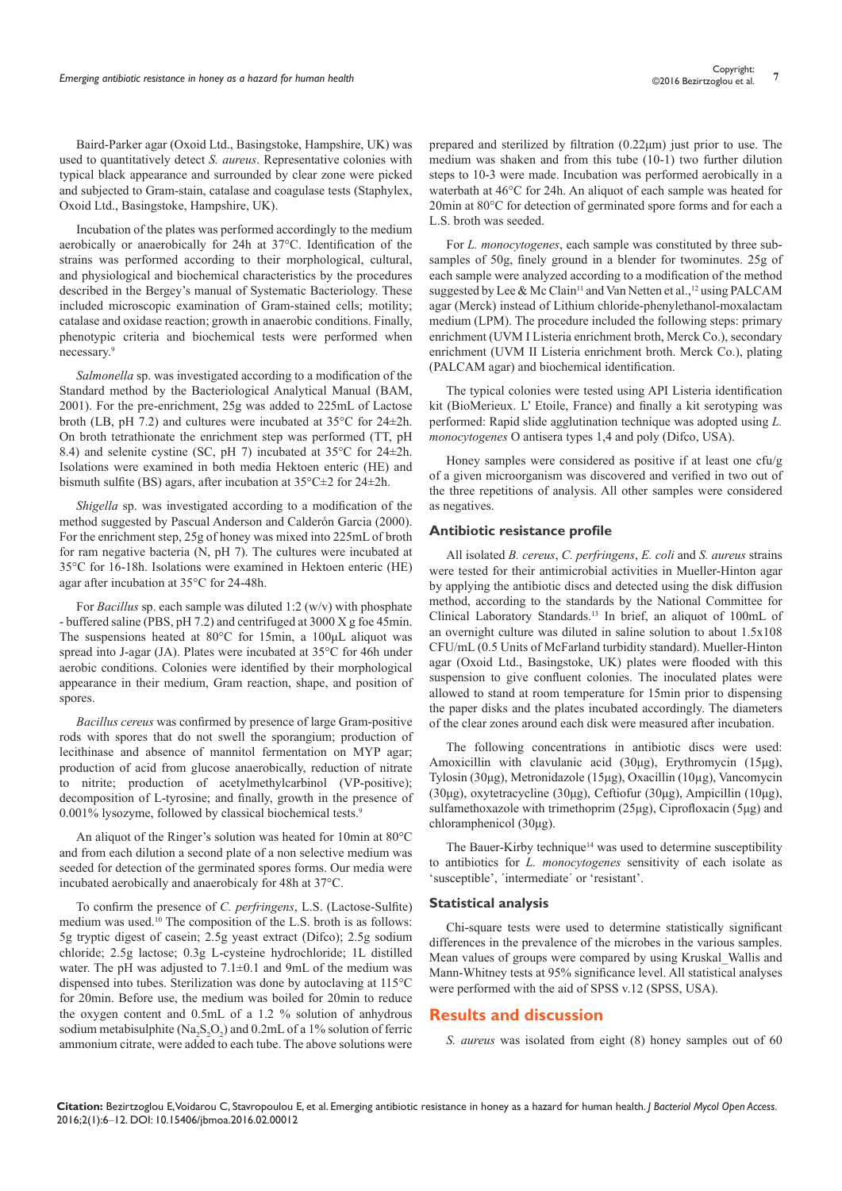Baird-Parker agar (Oxoid Ltd., Basingstoke, Hampshire, UK) was used to quantitatively detect *S. aureus*. Representative colonies with typical black appearance and surrounded by clear zone were picked and subjected to Gram-stain, catalase and coagulase tests (Staphylex, Oxoid Ltd., Basingstoke, Hampshire, UK).

Incubation of the plates was performed accordingly to the medium aerobically or anaerobically for 24h at 37°C. Identification of the strains was performed according to their morphological, cultural, and physiological and biochemical characteristics by the procedures described in the Bergey's manual of Systematic Bacteriology. These included microscopic examination of Gram-stained cells; motility; catalase and oxidase reaction; growth in anaerobic conditions. Finally, phenotypic criteria and biochemical tests were performed when necessary.9

*Salmonella* sp. was investigated according to a modification of the Standard method by the Bacteriological Analytical Manual (BAM, 2001). For the pre-enrichment, 25g was added to 225mL of Lactose broth (LB, pH 7.2) and cultures were incubated at 35°C for 24±2h. On broth tetrathionate the enrichment step was performed (TT, pH 8.4) and selenite cystine (SC, pH 7) incubated at 35°C for 24±2h. Isolations were examined in both media Hektoen enteric (HE) and bismuth sulfite (BS) agars, after incubation at 35°C±2 for 24±2h.

*Shigella* sp. was investigated according to a modification of the method suggested by Pascual Anderson and Calderόn Garcia (2000). For the enrichment step, 25g of honey was mixed into 225mL of broth for ram negative bacteria (N, pH 7). The cultures were incubated at 35°C for 16-18h. Isolations were examined in Hektoen enteric (HE) agar after incubation at 35°C for 24-48h.

For *Bacillus* sp. each sample was diluted 1:2 (w/v) with phosphate - buffered saline (PBS, pH 7.2) and centrifuged at 3000 X g foe 45min. The suspensions heated at 80°C for 15min, a 100μL aliquot was spread into J-agar (JA). Plates were incubated at 35°C for 46h under aerobic conditions. Colonies were identified by their morphological appearance in their medium, Gram reaction, shape, and position of spores.

*Bacillus cereus* was confirmed by presence of large Gram-positive rods with spores that do not swell the sporangium; production of lecithinase and absence of mannitol fermentation on MYP agar; production of acid from glucose anaerobically, reduction of nitrate to nitrite; production of acetylmethylcarbinol (VP-positive); decomposition of L-tyrosine; and finally, growth in the presence of 0.001% lysozyme, followed by classical biochemical tests.<sup>9</sup>

An aliquot of the Ringer's solution was heated for 10min at 80°C and from each dilution a second plate of a non selective medium was seeded for detection of the germinated spores forms. Our media were incubated aerobically and anaerobicaly for 48h at 37°C.

To confirm the presence of *C. perfringens*, L.S. (Lactose-Sulfite) medium was used.10 The composition of the L.S. broth is as follows: 5g tryptic digest of casein; 2.5g yeast extract (Difco); 2.5g sodium chloride; 2.5g lactose; 0.3g L-cysteine hydrochloride; 1L distilled water. The pH was adjusted to  $7.1\pm0.1$  and 9mL of the medium was dispensed into tubes. Sterilization was done by autoclaving at 115°C for 20min. Before use, the medium was boiled for 20min to reduce the oxygen content and 0.5mL of a 1.2 % solution of anhydrous sodium metabisulphite ( $\text{Na}_2\text{S}_2\text{O}_2$ ) and 0.2mL of a 1% solution of ferric ammonium citrate, were added to each tube. The above solutions were

prepared and sterilized by filtration (0.22μm) just prior to use. The medium was shaken and from this tube (10-1) two further dilution steps to 10-3 were made. Incubation was performed aerobically in a waterbath at 46°C for 24h. An aliquot of each sample was heated for 20min at 80°C for detection of germinated spore forms and for each a L.S. broth was seeded.

For *L. monocytogenes*, each sample was constituted by three subsamples of 50g, finely ground in a blender for twominutes. 25g of each sample were analyzed according to a modification of the method suggested by Lee & Mc Clain<sup>11</sup> and Van Netten et al., <sup>12</sup> using PALCAM agar (Merck) instead of Lithium chloride-phenylethanol-moxalactam medium (LPM). The procedure included the following steps: primary enrichment (UVM I Listeria enrichment broth, Merck Co.), secondary enrichment (UVM II Listeria enrichment broth. Merck Co.), plating (PALCAM agar) and biochemical identification.

The typical colonies were tested using API Listeria identification kit (BioMerieux. L' Etoile, France) and finally a kit serotyping was performed: Rapid slide agglutination technique was adopted using *L. monocytogenes* O antisera types 1,4 and poly (Difco, USA).

Honey samples were considered as positive if at least one cfu/g of a given microorganism was discovered and verified in two out of the three repetitions of analysis. All other samples were considered as negatives.

#### **Antibiotic resistance profile**

All isolated *B. cereus*, *C. perfringens*, *E. coli* and *S. aureus* strains were tested for their antimicrobial activities in Mueller-Hinton agar by applying the antibiotic discs and detected using the disk diffusion method, according to the standards by the National Committee for Clinical Laboratory Standards.13 In brief, an aliquot of 100mL of an overnight culture was diluted in saline solution to about 1.5x108 CFU/mL (0.5 Units of McFarland turbidity standard). Mueller-Hinton agar (Oxoid Ltd., Basingstoke, UK) plates were flooded with this suspension to give confluent colonies. The inoculated plates were allowed to stand at room temperature for 15min prior to dispensing the paper disks and the plates incubated accordingly. The diameters of the clear zones around each disk were measured after incubation.

The following concentrations in antibiotic discs were used: Amoxicillin with clavulanic acid (30μg), Erythromycin (15μg), Tylosin (30μg), Metronidazole (15μg), Oxacillin (10µg), Vancomycin (30μg), oxytetracycline (30μg), Ceftiofur (30μg), Ampicillin (10μg), sulfamethoxazole with trimethoprim (25μg), Ciprofloxacin (5μg) and chloramphenicol (30μg).

The Bauer-Kirby technique<sup>14</sup> was used to determine susceptibility to antibiotics for *L. monocytogenes* sensitivity of each isolate as 'susceptible', ΄intermediate΄ or 'resistant'.

#### **Statistical analysis**

Chi-square tests were used to determine statistically significant differences in the prevalence of the microbes in the various samples. Mean values of groups were compared by using Kruskal\_Wallis and Mann-Whitney tests at 95% significance level. All statistical analyses were performed with the aid of SPSS v.12 (SPSS, USA).

# **Results and discussion**

*S. aureus* was isolated from eight (8) honey samples out of 60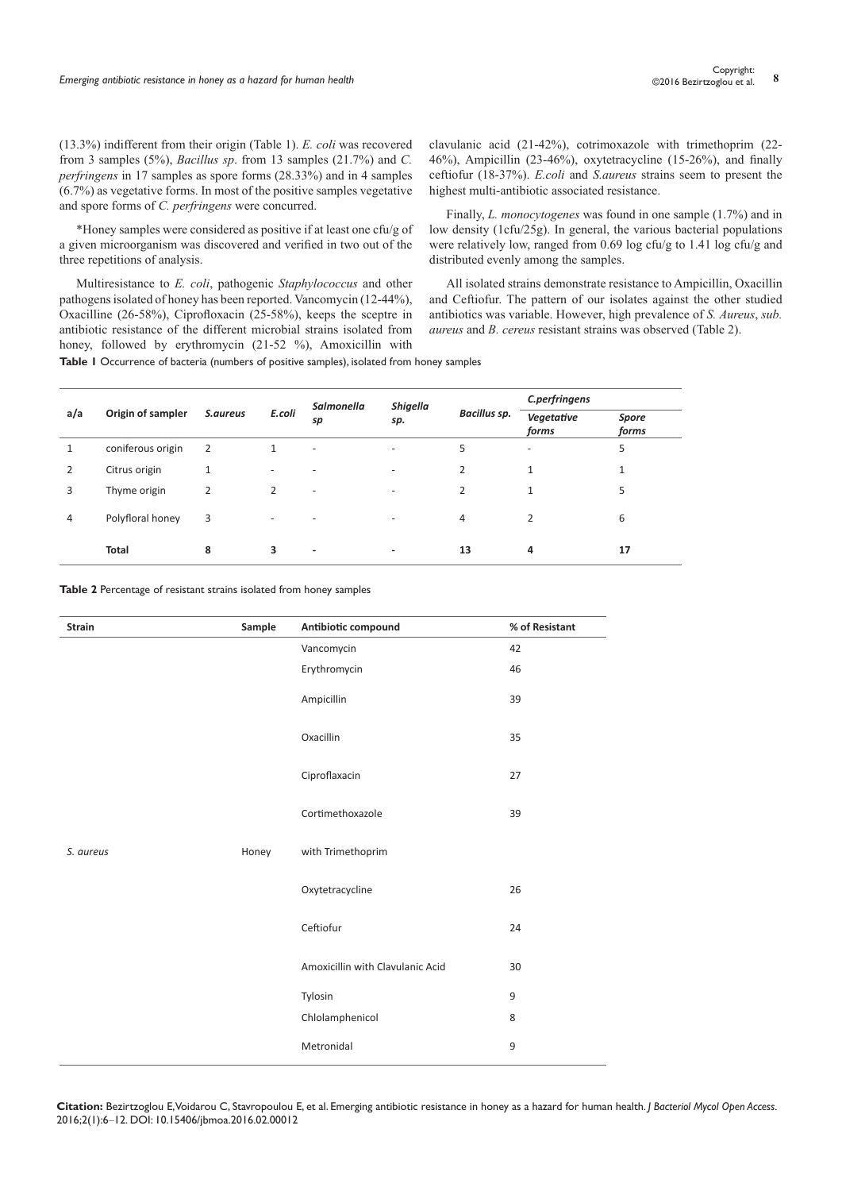(13.3%) indifferent from their origin (Table 1). *E. coli* was recovered from 3 samples (5%), *Bacillus sp*. from 13 samples (21.7%) and *C. perfringens* in 17 samples as spore forms (28.33%) and in 4 samples (6.7%) as vegetative forms. In most of the positive samples vegetative and spore forms of *C. perfringens* were concurred.

\*Honey samples were considered as positive if at least one cfu/g of a given microorganism was discovered and verified in two out of the three repetitions of analysis.

Multiresistance to *E. coli*, pathogenic *Staphylococcus* and other pathogens isolated of honey has been reported. Vancomycin (12-44%), Oxacilline (26-58%), Ciprofloxacin (25-58%), keeps the sceptre in antibiotic resistance of the different microbial strains isolated from honey, followed by erythromycin (21-52 %), Amoxicillin with

clavulanic acid (21-42%), cotrimoxazole with trimethoprim (22- 46%), Ampicillin (23-46%), oxytetracycline (15-26%), and finally ceftiofur (18-37%). *E.coli* and *S.aureus* strains seem to present the highest multi-antibiotic associated resistance.

Finally, *L. monocytogenes* was found in one sample (1.7%) and in low density (1cfu/25g). In general, the various bacterial populations were relatively low, ranged from 0.69 log cfu/g to 1.41 log cfu/g and distributed evenly among the samples.

All isolated strains demonstrate resistance to Ampicillin, Oxacillin and Ceftiofur. The pattern of our isolates against the other studied antibiotics was variable. However, high prevalence of *S. Aureus*, *sub. aureus* and *B. cereus* resistant strains was observed (Table 2).

**Table 1** Occurrence of bacteria (numbers of positive samples), isolated from honey samples

| a/a | Origin of sampler | S.aureus | E.coli                   | Salmonella<br>sp         | <b>Shigella</b><br>sp. | Bacillus sp.   | C.perfringens            |                |
|-----|-------------------|----------|--------------------------|--------------------------|------------------------|----------------|--------------------------|----------------|
|     |                   |          |                          |                          |                        |                | Vegetative<br>forms      | Spore<br>forms |
|     | coniferous origin | 2        | 1                        | $\overline{\phantom{a}}$ | -                      | 5              | $\overline{\phantom{a}}$ | 5              |
| 2   | Citrus origin     | 1        | $\overline{\phantom{0}}$ | $\overline{\phantom{a}}$ | -                      | 2              | 1                        | 1              |
| 3   | Thyme origin      | 2        | $\overline{2}$           | $\overline{\phantom{a}}$ | -                      | $\overline{2}$ | $\mathbf{1}$             | 5              |
| 4   | Polyfloral honey  | 3        |                          | ٠                        |                        | 4              | 2                        | 6              |
|     | <b>Total</b>      | 8        | 3                        | $\overline{\phantom{a}}$ | -                      | 13             | 4                        | 17             |

**Table 2** Percentage of resistant strains isolated from honey samples

| <b>Strain</b> | Sample | Antibiotic compound              | % of Resistant |
|---------------|--------|----------------------------------|----------------|
|               |        | Vancomycin                       | 42             |
|               |        | Erythromycin                     | 46             |
|               |        | Ampicillin                       | 39             |
|               |        | Oxacillin                        | 35             |
|               |        | Ciproflaxacin                    | 27             |
|               |        | Cortimethoxazole                 | 39             |
| S. aureus     | Honey  | with Trimethoprim                |                |
|               |        | Oxytetracycline                  | 26             |
|               |        | Ceftiofur                        | 24             |
|               |        | Amoxicillin with Clavulanic Acid | 30             |
|               |        | Tylosin                          | 9              |
|               |        | Chlolamphenicol                  | 8              |
|               |        | Metronidal                       | 9              |

**Citation:** Bezirtzoglou E, Voidarou C, Stavropoulou E, et al. Emerging antibiotic resistance in honey as a hazard for human health. *J Bacteriol Mycol Open Access.* 2016;2(1):6‒12. DOI: [10.15406/jbmoa.2016.02.00012](https://doi.org/10.15406/jbmoa.2016.02.00012)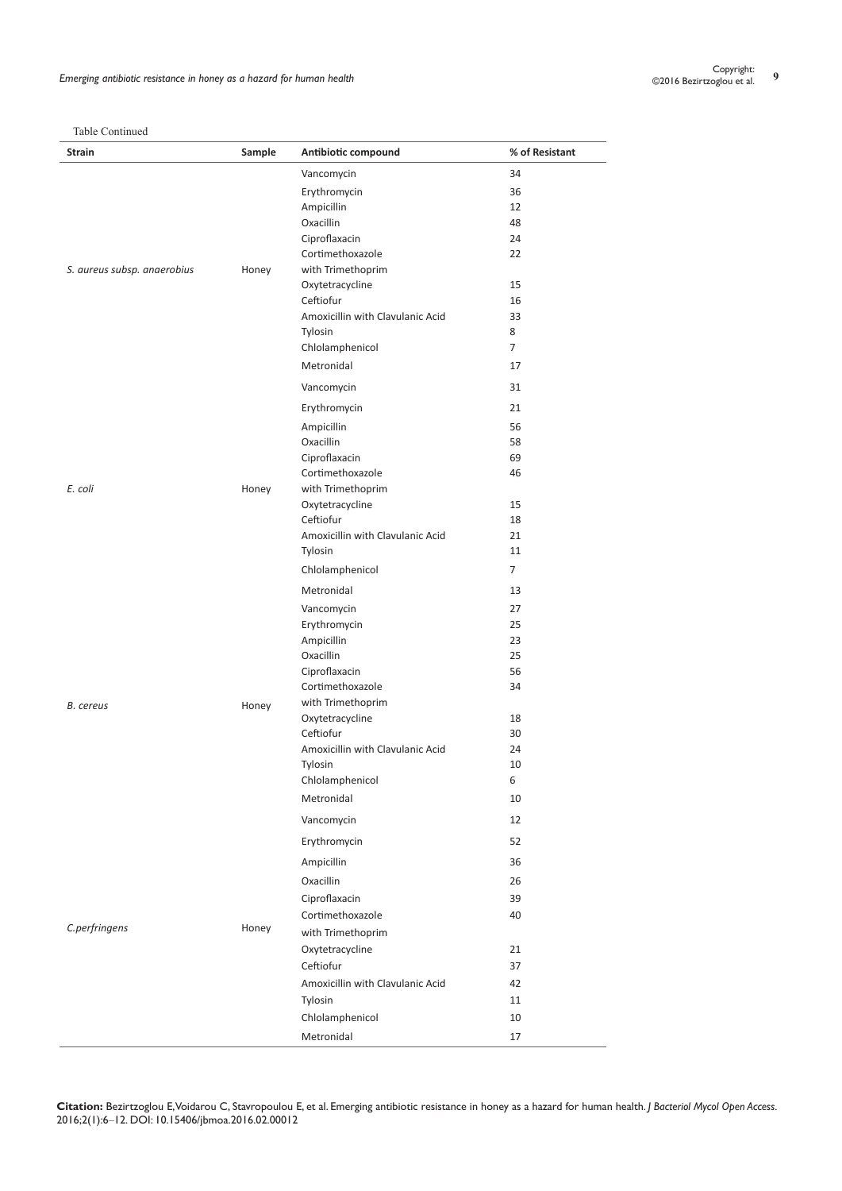| Table Continued |
|-----------------|
|-----------------|

| Table Communicul<br>Strain  | Sample | Antibiotic compound              | % of Resistant |
|-----------------------------|--------|----------------------------------|----------------|
|                             |        | Vancomycin                       | 34             |
|                             |        | Erythromycin                     | 36             |
|                             |        | Ampicillin                       | 12             |
|                             |        | Oxacillin                        | 48             |
|                             |        | Ciproflaxacin                    | 24             |
|                             |        | Cortimethoxazole                 | 22             |
| S. aureus subsp. anaerobius | Honey  | with Trimethoprim                |                |
|                             |        | Oxytetracycline                  | 15             |
|                             |        | Ceftiofur                        | 16             |
|                             |        | Amoxicillin with Clavulanic Acid | 33             |
|                             |        | Tylosin                          | 8              |
|                             |        | Chlolamphenicol                  | $\overline{7}$ |
|                             |        | Metronidal                       | 17             |
|                             |        | Vancomycin                       | 31             |
|                             |        | Erythromycin                     | 21             |
|                             |        | Ampicillin                       | 56             |
|                             |        | Oxacillin                        | 58             |
|                             |        | Ciproflaxacin                    | 69             |
|                             |        | Cortimethoxazole                 | 46             |
| E. coli                     | Honey  | with Trimethoprim                |                |
|                             |        | Oxytetracycline                  | 15             |
|                             |        | Ceftiofur                        | 18             |
|                             |        | Amoxicillin with Clavulanic Acid | 21             |
|                             |        | Tylosin                          | 11             |
|                             |        | Chlolamphenicol                  | $\overline{7}$ |
|                             |        | Metronidal                       | 13             |
|                             |        | Vancomycin                       | 27             |
|                             |        | Erythromycin                     | 25             |
|                             |        | Ampicillin                       | 23             |
|                             | Honey  | Oxacillin                        | 25             |
|                             |        | Ciproflaxacin                    | 56             |
|                             |        | Cortimethoxazole                 | 34             |
| <b>B.</b> cereus            |        | with Trimethoprim                |                |
|                             |        | Oxytetracycline                  | 18             |
|                             |        | Ceftiofur                        | 30             |
|                             |        | Amoxicillin with Clavulanic Acid | 24             |
|                             |        | Tylosin                          | 10             |
|                             |        | Chlolamphenicol<br>Metronidal    | 6              |
|                             |        |                                  | 10             |
|                             |        | Vancomycin                       | 12             |
|                             |        | Erythromycin                     | 52             |
|                             |        | Ampicillin                       | 36             |
|                             | Honey  | Oxacillin                        | 26             |
|                             |        | Ciproflaxacin                    | 39             |
|                             |        | Cortimethoxazole                 | 40             |
| C.perfringens               |        | with Trimethoprim                |                |
|                             |        | Oxytetracycline                  | 21             |
|                             |        | Ceftiofur                        | 37             |
|                             |        | Amoxicillin with Clavulanic Acid | 42             |
|                             |        | Tylosin                          | 11             |
|                             |        |                                  |                |
|                             |        | Chlolamphenicol                  | 10             |

**Citation:** Bezirtzoglou E, Voidarou C, Stavropoulou E, et al. Emerging antibiotic resistance in honey as a hazard for human health. *J Bacteriol Mycol Open Access.* 2016;2(1):6‒12. DOI: [10.15406/jbmoa.2016.02.00012](https://doi.org/10.15406/jbmoa.2016.02.00012)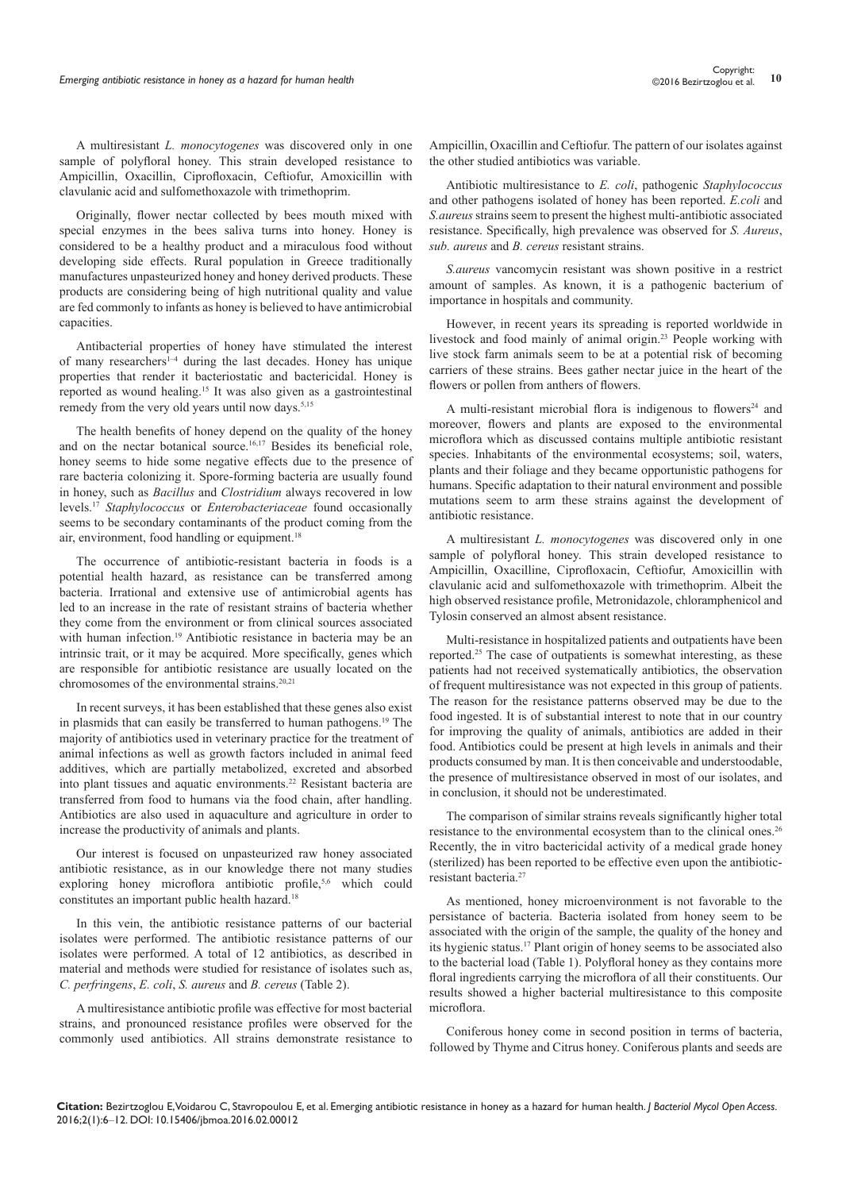A multiresistant *L. monocytogenes* was discovered only in one sample of polyfloral honey. This strain developed resistance to Ampicillin, Oxacillin, Ciprofloxacin, Ceftiofur, Amoxicillin with clavulanic acid and sulfomethoxazole with trimethoprim.

Originally, flower nectar collected by bees mouth mixed with special enzymes in the bees saliva turns into honey. Honey is considered to be a healthy product and a miraculous food without developing side effects. Rural population in Greece traditionally manufactures unpasteurized honey and honey derived products. These products are considering being of high nutritional quality and value are fed commonly to infants as honey is believed to have antimicrobial capacities.

Antibacterial properties of honey have stimulated the interest of many researchers<sup>1-4</sup> during the last decades. Honey has unique properties that render it bacteriostatic and bactericidal. Honey is reported as wound healing.<sup>15</sup> It was also given as a gastrointestinal remedy from the very old years until now days.<sup>5,15</sup>

The health benefits of honey depend on the quality of the honey and on the nectar botanical source.<sup>16,17</sup> Besides its beneficial role, honey seems to hide some negative effects due to the presence of rare bacteria colonizing it. Spore-forming bacteria are usually found in honey, such as *Bacillus* and *Clostridium* always recovered in low levels.17 *Staphylococcus* or *Enterobacteriaceae* found occasionally seems to be secondary contaminants of the product coming from the air, environment, food handling or equipment.<sup>18</sup>

The occurrence of antibiotic-resistant bacteria in foods is a potential health hazard, as resistance can be transferred among bacteria. Irrational and extensive use of antimicrobial agents has led to an increase in the rate of resistant strains of bacteria whether they come from the environment or from clinical sources associated with human infection.<sup>19</sup> Antibiotic resistance in bacteria may be an intrinsic trait, or it may be acquired. More specifically, genes which are responsible for antibiotic resistance are usually located on the chromosomes of the environmental strains.<sup>20,21</sup>

In recent surveys, it has been established that these genes also exist in plasmids that can easily be transferred to human pathogens.19 The majority of antibiotics used in veterinary practice for the treatment of animal infections as well as growth factors included in animal feed additives, which are partially metabolized, excreted and absorbed into plant tissues and aquatic environments.22 Resistant bacteria are transferred from food to humans via the food chain, after handling. Antibiotics are also used in aquaculture and agriculture in order to increase the productivity of animals and plants.

Our interest is focused on unpasteurized raw honey associated antibiotic resistance, as in our knowledge there not many studies exploring honey microflora antibiotic profile,<sup>5,6</sup> which could constitutes an important public health hazard.<sup>18</sup>

In this vein, the antibiotic resistance patterns of our bacterial isolates were performed. The antibiotic resistance patterns of our isolates were performed. A total of 12 antibiotics, as described in material and methods were studied for resistance of isolates such as, *C. perfringens*, *E. coli*, *S. aureus* and *B. cereus* (Table 2).

A multiresistance antibiotic profile was effective for most bacterial strains, and pronounced resistance profiles were observed for the commonly used antibiotics. All strains demonstrate resistance to Ampicillin, Oxacillin and Ceftiofur. The pattern of our isolates against the other studied antibiotics was variable.

Antibiotic multiresistance to *E. coli*, pathogenic *Staphylococcus* and other pathogens isolated of honey has been reported. *E.coli* and *S.aureus* strains seem to present the highest multi-antibiotic associated resistance. Specifically, high prevalence was observed for *S. Aureus*, *sub. aureus* and *B. cereus* resistant strains.

*S.aureus* vancomycin resistant was shown positive in a restrict amount of samples. As known, it is a pathogenic bacterium of importance in hospitals and community.

However, in recent years its spreading is reported worldwide in livestock and food mainly of animal origin.23 People working with live stock farm animals seem to be at a potential risk of becoming carriers of these strains. Bees gather nectar juice in the heart of the flowers or pollen from anthers of flowers.

A multi-resistant microbial flora is indigenous to flowers<sup>24</sup> and moreover, flowers and plants are exposed to the environmental microflora which as discussed contains multiple antibiotic resistant species. Inhabitants of the environmental ecosystems; soil, waters, plants and their foliage and they became opportunistic pathogens for humans. Specific adaptation to their natural environment and possible mutations seem to arm these strains against the development of antibiotic resistance.

A multiresistant *L. monocytogenes* was discovered only in one sample of polyfloral honey. This strain developed resistance to Ampicillin, Oxacilline, Ciprofloxacin, Ceftiofur, Amoxicillin with clavulanic acid and sulfomethoxazole with trimethoprim. Albeit the high observed resistance profile, Metronidazole, chloramphenicol and Tylosin conserved an almost absent resistance.

Μulti-resistance in hospitalized patients and outpatients have been reported.<sup>25</sup> The case of outpatients is somewhat interesting, as these patients had not received systematically antibiotics, the observation of frequent multiresistance was not expected in this group of patients. The reason for the resistance patterns observed may be due to the food ingested. It is of substantial interest to note that in our country for improving the quality of animals, antibiotics are added in their food. Antibiotics could be present at high levels in animals and their products consumed by man. It is then conceivable and understoodable, the presence of multiresistance observed in most of our isolates, and in conclusion, it should not be underestimated.

The comparison of similar strains reveals significantly higher total resistance to the environmental ecosystem than to the clinical ones.26 Recently, the in vitro bactericidal activity of a medical grade honey (sterilized) has been reported to be effective even upon the antibioticresistant bacteria<sup>27</sup>

As mentioned, honey microenvironment is not favorable to the persistance of bacteria. Bacteria isolated from honey seem to be associated with the origin of the sample, the quality of the honey and its hygienic status.17 Plant origin of honey seems to be associated also to the bacterial load (Table 1). Polyfloral honey as they contains more floral ingredients carrying the microflora of all their constituents. Our results showed a higher bacterial multiresistance to this composite microflora.

Coniferous honey come in second position in terms of bacteria, followed by Thyme and Citrus honey. Coniferous plants and seeds are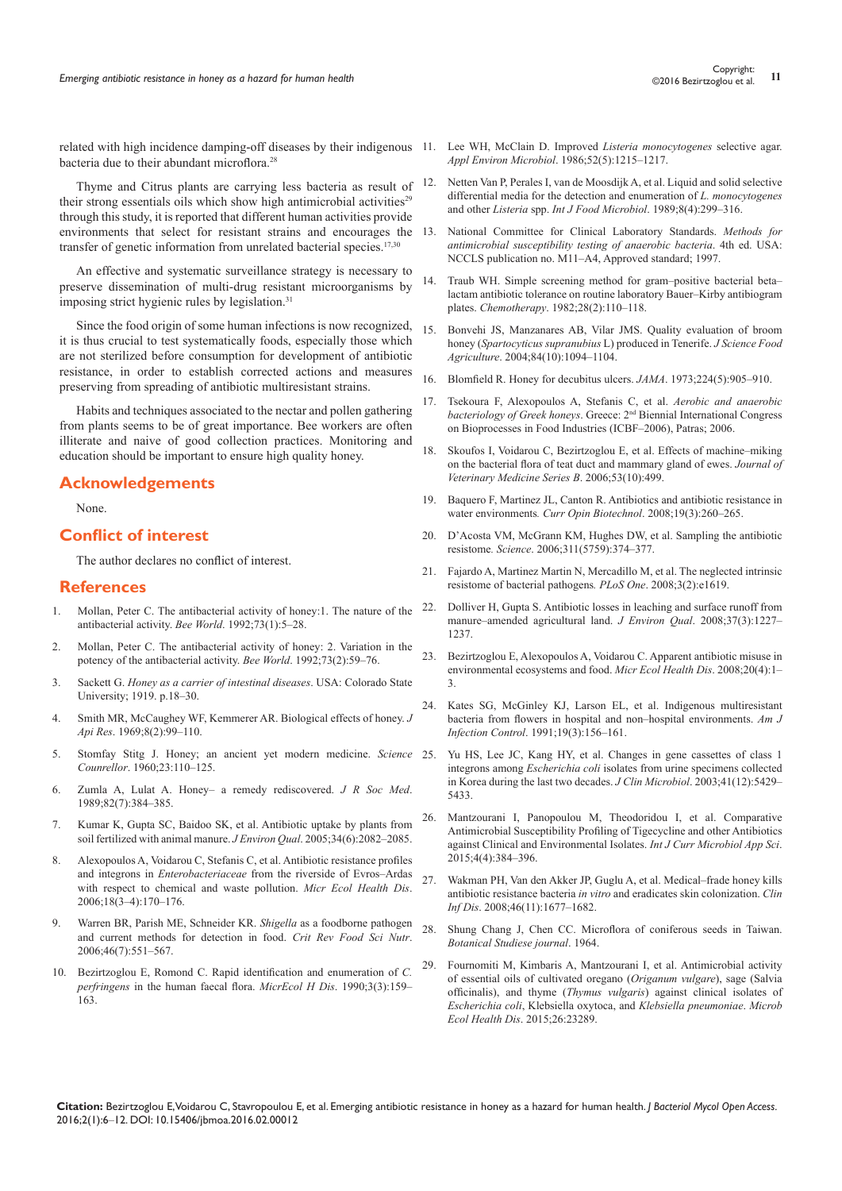related with high incidence damping-off diseases by their indigenous 11. Lee WH, McClain D. Improved *[Listeria monocytogenes](http://www.ncbi.nlm.nih.gov/pubmed/3024563/)* selective agar. bacteria due to their abundant microflora.<sup>28</sup>

Thyme and Citrus plants are carrying less bacteria as result of their strong essentials oils which show high antimicrobial activities<sup>29</sup> through this study, it is reported that different human activities provide environments that select for resistant strains and encourages the transfer of genetic information from unrelated bacterial species.<sup>17,30</sup>

An effective and systematic surveillance strategy is necessary to preserve dissemination of multi-drug resistant microorganisms by imposing strict hygienic rules by legislation.<sup>31</sup>

Since the food origin of some human infections is now recognized, it is thus crucial to test systematically foods, especially those which are not sterilized before consumption for development of antibiotic resistance, in order to establish corrected actions and measures preserving from spreading of antibiotic multiresistant strains.

Habits and techniques associated to the nectar and pollen gathering from plants seems to be of great importance. Bee workers are often illiterate and naive of good collection practices. Monitoring and education should be important to ensure high quality honey.

## **Acknowledgements**

None.

## **Conflict of interest**

The author declares no conflict of interest.

#### **References**

- 1. Mollan, Peter C[. The antibacterial activity of honey:1. The nature of the](http://researchcommons.waikato.ac.nz/handle/10289/2094)  [antibacterial activity.](http://researchcommons.waikato.ac.nz/handle/10289/2094) *Bee World*. 1992;73(1):5–28.
- 2. Mollan, Peter C[. The antibacterial activity of honey:](http://researchcommons.waikato.ac.nz/handle/10289/2140) 2. Variation in the [potency of the antibacterial activity.](http://researchcommons.waikato.ac.nz/handle/10289/2140) *Bee World*. 1992;73(2):59–76.
- 3. Sackett G. *Honey as a carrier of intestinal diseases*. USA: Colorado State University; 1919. p.18–30.
- 4. [Smith MR, McCaughey WF, Kemmerer AR](http://www.tandfonline.com/doi/abs/10.1080/00218839.1969.11100225). Biological effects of honey. *J Api Res*. 1969;[8\(2\):99–110.](http://www.tandfonline.com/doi/abs/10.1080/00218839.1969.11100225)
- 5. Stomfay Stitg J. Honey; an ancient yet modern medicine. *Science Counrellor*. 1960;23:110–125.
- 6. [Zumla A, Lulat A. Honey– a remedy rediscovered.](http://www.ncbi.nlm.nih.gov/pubmed/2685300) *J R Soc Med*. 1989;[82\(7\):384–385.](http://www.ncbi.nlm.nih.gov/pubmed/2685300)
- 7. [Kumar K, Gupta SC, Baidoo SK,](http://www.ncbi.nlm.nih.gov/pubmed/16221828) et al. Antibiotic uptake by plants from [soil fertilized with animal manure.](http://www.ncbi.nlm.nih.gov/pubmed/16221828) *J Environ Qual*. 2005;34(6):2082–2085.
- 8. [Alexopoulos A, Voidarou C, Stefanis C, et al. Antibiotic resistance profiles](http://www.microbecolhealthdis.net/index.php/mehd/article/view/7685)  and integrons in *Enterobacteriaceae* [from the riverside of Evros–Ardas](http://www.microbecolhealthdis.net/index.php/mehd/article/view/7685)  [with respect to chemical and waste pollution.](http://www.microbecolhealthdis.net/index.php/mehd/article/view/7685) *Micr Ecol Health Dis*. [2006;18\(3–4\):170–176.](http://www.microbecolhealthdis.net/index.php/mehd/article/view/7685)
- 9. [Warren BR, Parish ME, Schneider KR](http://www.ncbi.nlm.nih.gov/pubmed/16954064). *Shigella* as a foodborne pathogen [and current methods for detection in food.](http://www.ncbi.nlm.nih.gov/pubmed/16954064) *Crit Rev Food Sci Nutr*. [2006;46\(7\):551–567.](http://www.ncbi.nlm.nih.gov/pubmed/16954064)
- 10. Bezirtzoglou E, Romond C. [Rapid identification and enumeration of](http://www.microbecolhealthdis.net/index.php/mehd/article/view/7534) *C. perfringens* [in the human faecal flora.](http://www.microbecolhealthdis.net/index.php/mehd/article/view/7534) *MicrEcol H Dis*. 1990;3(3):159– [163.](http://www.microbecolhealthdis.net/index.php/mehd/article/view/7534)
- *[Appl Environ Microbiol](http://www.ncbi.nlm.nih.gov/pubmed/3024563/)*. 1986;52(5):1215–1217.
- 12. [Netten Van P, Perales I, van de Moosdijk A,](http://www.ncbi.nlm.nih.gov/pubmed/2518321) et al. Liquid and solid selective [differential media for the detection and enumeration of](http://www.ncbi.nlm.nih.gov/pubmed/2518321) *L. monocytogenes* and other *Listeria* spp. *[Int J Food Microbiol](http://www.ncbi.nlm.nih.gov/pubmed/2518321)*. 1989;8(4):299–316.
- 13. National Committee for Clinical Laboratory Standards. *Methods for antimicrobial susceptibility testing of anaerobic bacteria*. 4th ed. USA: NCCLS publication no. M11–A4, Approved standard; 1997.
- 14. Traub WH. [Simple screening method for gram–positive bacterial beta–](http://www.ncbi.nlm.nih.gov/pubmed/7075323) [lactam antibiotic tolerance on routine laboratory Bauer–Kirby antibiogram](http://www.ncbi.nlm.nih.gov/pubmed/7075323)  plates. *[Chemotherapy](http://www.ncbi.nlm.nih.gov/pubmed/7075323)*. 1982;28(2):110–118.
- 15. Bonvehi JS, Manzanares AB, Vilar JMS. Quality evaluation of broom honey (*Spartocyticus supranubius* L) produced in Tenerife. *J Science Food Agriculture*. 2004;84(10):1094–1104.
- 16. Blomfield R[. Honey for decubitus ulcers.](http://www.ncbi.nlm.nih.gov/pubmed/4739699) *JAMA*. 1973;224(5):905–910.
- 17. Tsekoura F, Alexopoulos A, Stefanis C, et al. *Aerobic and anaerobic bacteriology of Greek honeys*. Greece: 2nd Biennial International Congress on Bioprocesses in Food Industries (ICBF–2006), Patras; 2006.
- 18. Skoufos I, Voidarou C, Bezirtzoglou E, et al. Effects of machine–miking on the bacterial flora of teat duct and mammary gland of ewes. *Journal of Veterinary Medicine Series B*. 2006;53(10):499.
- 19. Baquero F, Martinez JL, Canton R[. Antibiotics and antibiotic resistance in](http://www.ncbi.nlm.nih.gov/pubmed/18534838)  water environments*[. Curr Opin Biotechnol](http://www.ncbi.nlm.nih.gov/pubmed/18534838)*. 2008;19(3):260–265.
- 20. [D'Acosta VM, McGrann KM, Hughes DW,](http://www.ncbi.nlm.nih.gov/pubmed/16424339) et al. Sampling the antibiotic resistome*. Science*[. 2006;311\(5759\):374–377.](http://www.ncbi.nlm.nih.gov/pubmed/16424339)
- 21. [Fajardo A, Martinez Martin N, Mercadillo M, et al. The neglected intrinsic](http://www.ncbi.nlm.nih.gov/pubmed/18286176)  [resistome of bacterial pathogens](http://www.ncbi.nlm.nih.gov/pubmed/18286176)*. PLoS One*. 2008;3(2):e1619.
- 22. Dolliver H, Gupta S[. Antibiotic losses in leaching and surface runoff from](http://www.ncbi.nlm.nih.gov/pubmed/18453442)  [manure–amended agricultural land.](http://www.ncbi.nlm.nih.gov/pubmed/18453442) *J Environ Qual*. 2008;37(3):1227– 1237
- 23. [Bezirtzoglou E, Alexopoulos A, Voidarou C](http://www.tandfonline.com/doi/abs/10.1080/08910600802408103?journalCode=imdi20). Apparent antibiotic misuse in [environmental ecosystems and food.](http://www.tandfonline.com/doi/abs/10.1080/08910600802408103?journalCode=imdi20) *Micr Ecol Health Dis*. 2008;20(4):1– [3.](http://www.tandfonline.com/doi/abs/10.1080/08910600802408103?journalCode=imdi20)
- 24. [Kates SG, McGinley KJ, Larson EL,](http://www.ncbi.nlm.nih.gov/pubmed/1907439) et al. Indigenous multiresistant [bacteria from flowers in hospital and non–hospital environments.](http://www.ncbi.nlm.nih.gov/pubmed/1907439) *Am J [Infection Control](http://www.ncbi.nlm.nih.gov/pubmed/1907439)*. 1991;19(3):156–161.
- Yu HS, Lee JC, Kang HY, et al. Changes in gene cassettes of class 1 integrons among *Escherichia coli* [isolates from urine specimens collected](http://www.ncbi.nlm.nih.gov/pubmed/14662921)  [in Korea during the last two decades.](http://www.ncbi.nlm.nih.gov/pubmed/14662921) *J Clin Microbiol*. 2003;41(12):5429– [5433.](http://www.ncbi.nlm.nih.gov/pubmed/14662921)
- 26. [Mantzourani I, Panopoulou M, Theodoridou I, et al. Comparative](http://www.ijcmas.com/vol-4-4/I.Mantzourani,%20et%20al.pdf)  [Antimicrobial Susceptibility Profiling of Tigecycline and other Antibiotics](http://www.ijcmas.com/vol-4-4/I.Mantzourani,%20et%20al.pdf)  [against Clinical and Environmental Isolates.](http://www.ijcmas.com/vol-4-4/I.Mantzourani,%20et%20al.pdf) *Int J Curr Microbiol App Sci*. [2015;4\(4\):384–396.](http://www.ijcmas.com/vol-4-4/I.Mantzourani,%20et%20al.pdf)
- 27. [Wakman PH, Van den Akker JP, Guglu A, et al. Medical–frade honey kills](http://www.ncbi.nlm.nih.gov/pubmed/18433338)  antibiotic resistance bacteria *in vitro* [and eradicates skin colonization.](http://www.ncbi.nlm.nih.gov/pubmed/18433338) *Clin Inf Dis*[. 2008;46\(11\):1677–1682.](http://www.ncbi.nlm.nih.gov/pubmed/18433338)
- 28. Shung Chang J, Chen CC. Microflora of coniferous seeds in Taiwan. *Botanical Studiese journal*. 1964.
- 29. [Fournomiti M, Kimbaris A, Mantzourani I, et al. Antimicrobial activity](http://www.ncbi.nlm.nih.gov/pubmed/25881620)  [of essential oils of cultivated oregano \(](http://www.ncbi.nlm.nih.gov/pubmed/25881620)*Origanum vulgare*), sage (Salvia officinalis), and thyme (*Thymus vulgaris*[\) against clinical isolates of](http://www.ncbi.nlm.nih.gov/pubmed/25881620)  *Escherichia coli*, [Klebsiella oxytoca, and](http://www.ncbi.nlm.nih.gov/pubmed/25881620) *Klebsiella pneumoniae*. *Microb [Ecol Health Dis](http://www.ncbi.nlm.nih.gov/pubmed/25881620)*. 2015;26:23289.